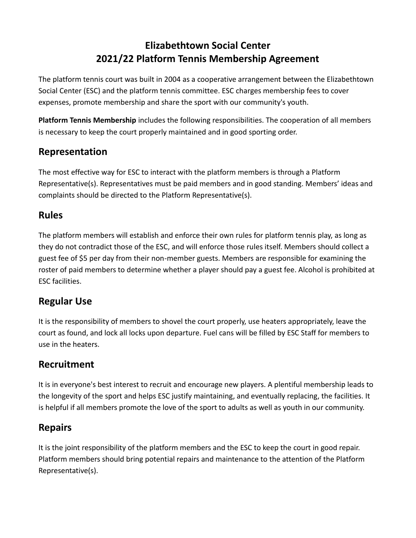# **Elizabethtown Social Center 2021/22 Platform Tennis Membership Agreement**

The platform tennis court was built in 2004 as a cooperative arrangement between the Elizabethtown Social Center (ESC) and the platform tennis committee. ESC charges membership fees to cover expenses, promote membership and share the sport with our community's youth.

**Platform Tennis Membership** includes the following responsibilities. The cooperation of all members is necessary to keep the court properly maintained and in good sporting order.

## **Representation**

The most effective way for ESC to interact with the platform members is through a Platform Representative(s). Representatives must be paid members and in good standing. Members' ideas and complaints should be directed to the Platform Representative(s).

## **Rules**

The platform members will establish and enforce their own rules for platform tennis play, as long as they do not contradict those of the ESC, and will enforce those rules itself. Members should collect a guest fee of \$5 per day from their non-member guests. Members are responsible for examining the roster of paid members to determine whether a player should pay a guest fee. Alcohol is prohibited at ESC facilities.

## **Regular Use**

It is the responsibility of members to shovel the court properly, use heaters appropriately, leave the court as found, and lock all locks upon departure. Fuel cans will be filled by ESC Staff for members to use in the heaters.

## **Recruitment**

It is in everyone's best interest to recruit and encourage new players. A plentiful membership leads to the longevity of the sport and helps ESC justify maintaining, and eventually replacing, the facilities. It is helpful if all members promote the love of the sport to adults as well as youth in our community.

## **Repairs**

It is the joint responsibility of the platform members and the ESC to keep the court in good repair. Platform members should bring potential repairs and maintenance to the attention of the Platform Representative(s).